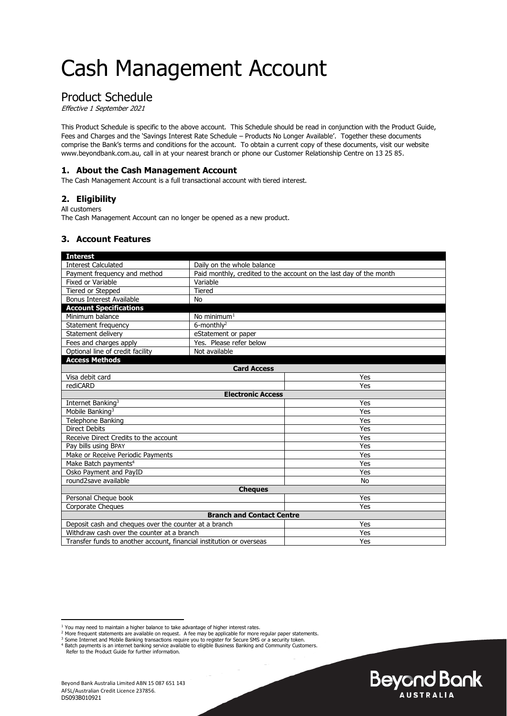# Cash Management Account

# Product Schedule

Effective 1 September 2021

This Product Schedule is specific to the above account. This Schedule should be read in conjunction with the Product Guide, Fees and Charges and the 'Savings Interest Rate Schedule – Products No Longer Available'. Together these documents comprise the Bank's terms and conditions for the account. To obtain a current copy of these documents, visit our website www.beyondbank.com.au, call in at your nearest branch or phone our Customer Relationship Centre on 13 25 85.

### **1. About the Cash Management Account**

The Cash Management Account is a full transactional account with tiered interest.

### **2. Eligibility**

All customers

The Cash Management Account can no longer be opened as a new product.

#### **3. Account Features**

| <b>Interest</b>                                                      |                                                                    |           |  |
|----------------------------------------------------------------------|--------------------------------------------------------------------|-----------|--|
| <b>Interest Calculated</b>                                           | Daily on the whole balance                                         |           |  |
| Payment frequency and method                                         | Paid monthly, credited to the account on the last day of the month |           |  |
| Fixed or Variable                                                    | Variable                                                           |           |  |
| Tiered or Stepped                                                    | <b>Tiered</b>                                                      |           |  |
| <b>Bonus Interest Available</b>                                      | No                                                                 |           |  |
| <b>Account Specifications</b>                                        |                                                                    |           |  |
| Minimum balance                                                      | No minimum $1$                                                     |           |  |
| Statement frequency                                                  | $6$ -monthly <sup>2</sup>                                          |           |  |
| Statement delivery                                                   | eStatement or paper                                                |           |  |
| Fees and charges apply                                               | Yes. Please refer below                                            |           |  |
| Optional line of credit facility                                     | Not available                                                      |           |  |
| <b>Access Methods</b>                                                |                                                                    |           |  |
| <b>Card Access</b>                                                   |                                                                    |           |  |
| Visa debit card                                                      |                                                                    | Yes       |  |
| rediCARD                                                             |                                                                    | Yes       |  |
| <b>Electronic Access</b>                                             |                                                                    |           |  |
| Internet Banking <sup>3</sup>                                        |                                                                    | Yes       |  |
| Mobile Banking <sup>3</sup>                                          |                                                                    | Yes       |  |
| <b>Telephone Banking</b>                                             |                                                                    | Yes       |  |
| <b>Direct Debits</b>                                                 |                                                                    | Yes       |  |
| Receive Direct Credits to the account                                |                                                                    | Yes       |  |
| Pay bills using BPAY                                                 |                                                                    | Yes       |  |
| Make or Receive Periodic Payments                                    |                                                                    | Yes       |  |
| Make Batch payments <sup>4</sup>                                     |                                                                    | Yes       |  |
| Osko Payment and PayID                                               |                                                                    | Yes       |  |
| round2save available                                                 |                                                                    | <b>No</b> |  |
| <b>Cheques</b>                                                       |                                                                    |           |  |
| Personal Cheque book                                                 |                                                                    | Yes       |  |
| <b>Corporate Cheques</b>                                             |                                                                    | Yes       |  |
| <b>Branch and Contact Centre</b>                                     |                                                                    |           |  |
| Deposit cash and cheques over the counter at a branch                |                                                                    | Yes       |  |
| Withdraw cash over the counter at a branch                           |                                                                    | Yes       |  |
| Transfer funds to another account, financial institution or overseas |                                                                    | Yes       |  |

<sup>4</sup> Batch payments is an internet banking service available to eligible Business Banking and Community Customers.

Refer to the Product Guide for further information.



<sup>&</sup>lt;sup>1</sup> You may need to maintain a higher balance to take advantage of higher interest rates.

<sup>&</sup>lt;sup>2</sup> More frequent statements are available on request. A fee may be applicable for more regular paper statements.<br><sup>3</sup> Some Internet and Mobile Banking transactions require you to register for Secure SMS or a security toke